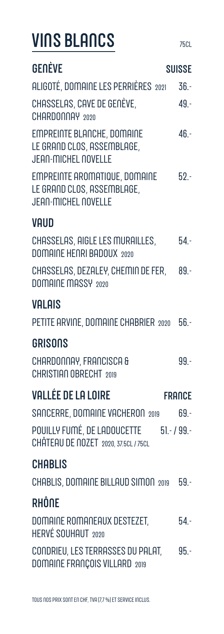## **VINS BLANCS**

| GENÈVE                                                                                           | <b>SUISSE</b> |
|--------------------------------------------------------------------------------------------------|---------------|
| ALIGOTÉ, DOMAINE LES PERRIÈRES 2021                                                              | $36. -$       |
| CHASSELAS, CAVE DE GENÈVE,<br>CHARDONNAY 2020                                                    | $49 -$        |
| <b>EMPREINTE BLANCHE, DOMAINE</b><br>LE GRAND CLOS, ASSEMBLAGE,<br><b>JEAN-MICHEL NOVELLE</b>    | $46. -$       |
| <b>EMPREINTE AROMATIQUE, DOMAINE</b><br>LE GRAND CLOS, ASSEMBLAGE,<br><b>JEAN-MICHEL NOVELLE</b> | $52 -$        |
| <b>VAUD</b>                                                                                      |               |
| CHASSELAS, AIGLE LES MURAILLES,<br>DOMAINE HENRI BADOUX 2020                                     | $54. -$       |
| CHASSELAS, DEZALEY, CHEMIN DE FER, 89.-<br>DOMAINE MASSY 2020                                    |               |
| <b>VALAIS</b>                                                                                    |               |
| PETITE ARVINE, DOMAINE CHABRIER 2020 56.                                                         |               |
| <b>GRISONS</b>                                                                                   |               |
| CHARDONNAY, FRANCISCA &<br><b>CHRISTIAN OBRECHT 2019</b>                                         | $99 -$        |
| <b>VALLÉE DE LA LOIRE</b>                                                                        | <b>FRANCE</b> |
| SANCERRE, DOMAINE VACHERON 2019                                                                  | $69 -$        |
| POUILLY FUMÉ, DE LADOUCETTE 51.- / 99.-<br>CHÂTEAU DE NOZET 2020, 37.5CL / 75CL                  |               |
| <b>CHABLIS</b>                                                                                   |               |
| CHABLIS, DOMAINE BILLAUD SIMON 2019                                                              | $59 -$        |
| RHÔNE                                                                                            |               |
| DOMAINE ROMANEAUX DESTEZET,<br>HERVÉ SOUHAUT 2020                                                | $54. -$       |
| CONDRIEU, LES TERRASSES DU PALAT,<br><b>DOMAINE FRANÇOIS VILLARD 2019</b>                        | $95 -$        |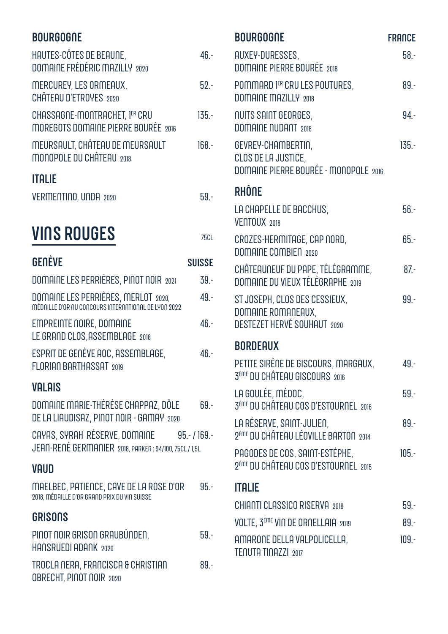#### **BOURGOGNE**

| <b>VINS ROUGES</b>                                                   | 75CL     |
|----------------------------------------------------------------------|----------|
| <b>ITALIE</b><br>VERMENTINO, UNDA 2020                               | $59 -$   |
| MEURSAULT, CHÂTEAU DE MEURSAULT<br>MONOPOLE DU CHÂTEAU 2018          | $168. -$ |
| CHASSAGNE-MONTRACHET, 1ER CRU<br>MOREGOTS DOMAINE PIERRE BOURÉE 2016 | $135 -$  |
| MERCUREY, LES ORMEAUX,<br>CHÂTEAU D'ETROYES 2020                     | $52 -$   |
| HAUTES-CÔTES DE BEAUNE,<br>DOMAINE FRÉDÉRIC MAZILLY 2020             | 46 -     |

| GENÈVE                                                                                             | <b>SUISSE</b> |
|----------------------------------------------------------------------------------------------------|---------------|
| DOMAINE LES PERRIÈRES, PINOT NOIR 2021                                                             | $39. -$       |
| DOMAINE LES PERRIÈRES, MERLOT 2020,<br>MÉDAILLE D'OR AU CONCOURS INTERNATIONAL DE LYON 2022        | $49. -$       |
| <b>EMPREINTE NOIRE, DOMAINE</b><br>LE GRAND CLOS, ASSEMBLAGE 2018                                  | $46 -$        |
| ESPRIT DE GENÈVE AOC, ASSEMBLAGE,<br>FLORIAN BARTHASSAT 2019                                       | $46. -$       |
| <b>VALAIS</b>                                                                                      |               |
| DOMAINE MARIE-THÉRÈSE CHAPPAZ, DÔLE<br>DE LA LIAUDISAZ, PINOT NOIR - GAMAY 2020                    | 69 -          |
| CAYAS, SYRAH RÉSERVE, DOMAINE 95.-/169.-<br>JEAN-RENÉ GERMANIER 2018, PARKER : 94/100, 75CL / 1,5L |               |
| <b>VAUD</b>                                                                                        |               |
| MAELBEC, PATIENCE, CAVE DE LA ROSE D'OR<br>2018, MÉDAILLE D'OR GRAND PRIX DU VIN SUISSE            | $95 -$        |
| <b>GRISONS</b>                                                                                     |               |
| PINOT NOIR GRISON GRAUBÜNDEN,<br>HANSRUEDI ADANK 2020                                              | $59 -$        |
|                                                                                                    |               |

TROCLA NERA, FRANCISCA & CHRISTIAN 89.-**OBRECHT, PINOT NOIR 2020** 

| <b>BOURGOGNE</b>                                                                          | <b>FRANCE</b> |
|-------------------------------------------------------------------------------------------|---------------|
| AUXEY-DURESSES,<br>DOMAINE PIERRE BOURÉE 2018                                             | $58. -$       |
| POMMARD 1ER CRU LES POUTURES,<br><b>DOMAINE MAZILLY 2018</b>                              | $89. -$       |
| NUITS SAINT GEORGES,<br><b>DOMAINE NUDANT 2018</b>                                        | $94. -$       |
| GEVREY-CHAMBERTIN,<br>CLOS DE LA JUSTICE,<br>DOMAINE PIERRE BOURÉE - MONOPOLE 2016        | $135 -$       |
| RHÔNE                                                                                     |               |
| LA CHAPELLE DE BACCHUS,<br><b>VENTOUX 2018</b>                                            | $56. -$       |
| CROZES-HERMITAGE, CAP NORD,<br><b>DOMAINE COMBIEN 2020</b>                                | $65 -$        |
| CHÂTEAUNEUF DU PAPE, TÉLÉGRAMME,<br><b>DOMAINE DU VIEUX TÉLÉGRAPHE 2019</b>               | $87 -$        |
| ST JOSEPH, CLOS DES CESSIEUX,<br>DOMAINE ROMANEAUX,<br><b>DESTEZET HERVÉ SOUHAUT 2020</b> | $99 -$        |
| <b>BORDEAUX</b>                                                                           |               |
| PETITE SIRÈNE DE GISCOURS, MARGAUX<br>3 <sup>ÈME</sup> DU CHÂTEAU GISCOURS 2016           | $49. -$       |
| LA GOULÉE, MÉDOC,<br>3 <sup>ÈME</sup> DU CHÂTEAU COS D'ESTOURNEL 2016                     | $59 -$        |
| LA RÉSERVE, SAINT-JULIEN,<br>2 <sup>ème</sup> DU CHÂTEAU LÉOVILLE BARTON 2014             | $89 -$        |
| PAGODES DE COS, SAINT-ESTÈPHE,<br>2 <sup>ÈME</sup> DU CHÂTEAU COS D'ESTOURNEL 2015        | $105 -$       |
| italie                                                                                    |               |
| <b>CHIANTI CLASSICO RISERVA 2018</b>                                                      | $59. -$       |
| VOLTE, 3 <sup>ème</sup> VIN DE ORNELLAIA 2019                                             | $89. -$       |
| AMARONE DELLA VALPOLICELLA,<br>TENUTA TINAZZI 2017                                        | $109. -$      |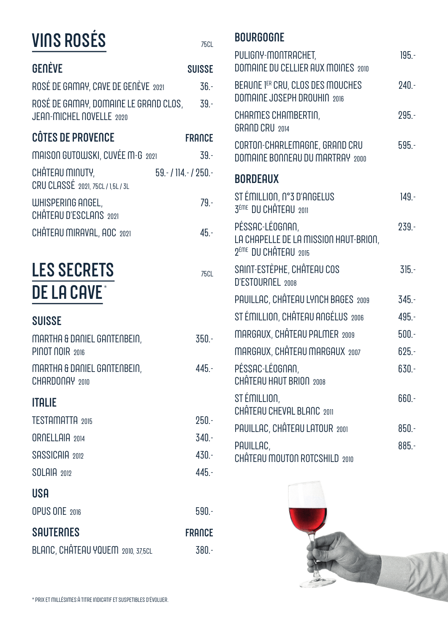| <b>VINS ROSÉS</b>                                                 | <b>75CL</b>         |
|-------------------------------------------------------------------|---------------------|
| <b>GENÈVE</b>                                                     | <b>SUISSE</b>       |
| ROSÉ DE GAMAY, CAVE DE GENÈVE 2021                                | $36. -$             |
| ROSÉ DE GAMAY, DOMAINE LE GRAND CLOS,<br>JEAN-MICHEL NOVELLE 2020 | $-39-$              |
| <b>CÔTES DE PROVENCE</b>                                          | <b>FRANCE</b>       |
| MAISON GUTOWSKI, CUVÉE M-G 2021                                   | $39. -$             |
| CHẤTEAU MINUTY,<br>CRU CLASSÉ 2021, 75CL / 1,5L / 3L              | $59 - 114 - 1250 -$ |
| WHISPERING ANGEL,<br>CHÂTEAU D'ESCLANS 2021                       | $79. -$             |
| CHÂTEAU MIRAVAL, AOC 2021                                         | $45 -$              |
| <b>LES SECRETS</b><br><b>DE LA CAVE</b>                           | <b>75CL</b>         |
| <b>SUISSE</b>                                                     |                     |
| MARTHA & DANIEL GANTENBEIN,<br>PINOT NOIR 2016                    | $350. -$            |
| MARTHA & DANIEL GANTENBEIN,<br>CHARDONAY 2010                     | $445 -$             |
| <b>ITALIE</b>                                                     |                     |
| <b>TESTAMATTA 2015</b>                                            | $250. -$            |
| ORNELLAIA 2014                                                    | $340 -$             |
| SASSICAIA 2012                                                    | $430. -$            |
| <b>SOLAIA 2012</b>                                                | $445. -$            |
| USA                                                               |                     |
| OPUS ONE 2016                                                     | $590 -$             |
| <b>SAUTERNES</b>                                                  | <b>FRANCE</b>       |
| BLANC, CHÂTEAU YQUEM 2010, 37,5CL                                 | $380 -$             |

#### **BOURGOGNE**

| PULIGNY-MONTRACHET,<br><b>DOMAINE DU CELLIER AUX MOINES 2010</b>                             | $195 -$  |
|----------------------------------------------------------------------------------------------|----------|
| BEAUNE 1ER CRU, CLOS DES MOUCHES<br>DOMAINE JOSEPH DROUHIN 2016                              | $240. -$ |
| CHARMES CHAMBERTIN,<br><b>GRAND CRU 2014</b>                                                 | $295. -$ |
| CORTON-CHARLEMAGNE, GRAND CRU<br>DOMAINE BONNEAU DU MARTRAY 2000                             | $595 -$  |
| <b>BORDEAUX</b>                                                                              |          |
| ST ÉMILLION, N°3 D'ANGELUS<br>3 <sup>ÈME</sup> DU CHÂTEAU 2011                               | $149. -$ |
| PÉSSAC-LÉOGNAN,<br>LA CHAPELLE DE LA MISSION HAUT-BRION,<br>2 <sup>ème</sup> DU CHÂTEAU 2015 | $239. -$ |
| SAINT-ESTÈPHE, CHÂTEAU COS<br>D'ESTOURNEL 2008                                               | $315 -$  |
| PAUILLAC, CHÂTEAU LYNCH BAGES 2009                                                           | $345. -$ |
| STÉMILLION, CHÂTEAU ANGÉLUS 2006                                                             | $495. -$ |
| MARGAUX, CHÂTEAU PALMER 2009                                                                 | $500 -$  |
| MARGAUX, CHÂTEAU MARGAUX 2007                                                                | $625. -$ |
| PÉSSAC-LÉOGNAN,<br>CHÂTEAU HAUT BRION 2008                                                   | $630 -$  |
| ST ÉMILLION,<br>CHÂTEAU CHEVAL BLANC 2011                                                    | 660.-    |
| PAUILLAC, CHÂTEAU LATOUR 2001                                                                | $850 -$  |
| PAUILLAC,<br>CHÂTEAU MOUTON ROTCSHILD 2010                                                   | $885. -$ |

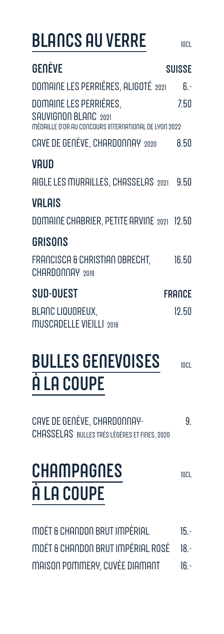### **BLANCS AU VERRE**

| GENÈVE<br><b>SUISSE</b><br>$6. -$<br>7.50<br>8.50                                                                                                                                                                                                                                            |
|----------------------------------------------------------------------------------------------------------------------------------------------------------------------------------------------------------------------------------------------------------------------------------------------|
| DOMAINE LES PERRIÈRES, ALIGOTÉ 2021<br>DOMAINE LES PERRIÈRES,<br>SAUVIGNON BLANC 2021<br>MÉDAILLE D'OR AU CONCOURS INTERNATIONAL DE LYON 2022<br>CAVE DE GENÈVE, CHARDONNAY 2020<br>VAUD<br>AIGLE LES MURAILLES, CHASSELAS 2021 9.50<br>VALAIS<br>DOMAINE CHABRIER, PETITE ARVINE 2021 12.50 |
|                                                                                                                                                                                                                                                                                              |
|                                                                                                                                                                                                                                                                                              |
|                                                                                                                                                                                                                                                                                              |
|                                                                                                                                                                                                                                                                                              |
|                                                                                                                                                                                                                                                                                              |
|                                                                                                                                                                                                                                                                                              |
|                                                                                                                                                                                                                                                                                              |
| <b>GRISONS</b>                                                                                                                                                                                                                                                                               |
| FRANCISCA & CHRISTIAN OBRECHT,<br>16.50<br>CHARDONNAY 2019                                                                                                                                                                                                                                   |
| <b>SUD-OUEST</b><br><b>FRANCE</b>                                                                                                                                                                                                                                                            |
| <b>BLANC LIQUOREUX,</b><br>12.50<br><b>MUSCADELLE VIEILLI 2018</b>                                                                                                                                                                                                                           |

#### **BULLES GENEVOISES 10CL** À LA COUPE

CAVE DE GENÈVE, CHARDONNAY-9. CHASSELAS BULLES TRÈS LÉGÈRES ET FINES, 2020

### **CHAMPAGNES** À LA COUPE

**10CL** 

| MOËT & CHANDON BRUT IMPÉRIAL           | $15 -$ |
|----------------------------------------|--------|
| MOËT & CHANDON BRUT IMPÉRIAL ROSÉ 18.- |        |
| MAISON POMMERY, CUVÉE DIAMANT          | $16 -$ |

 $10C1$